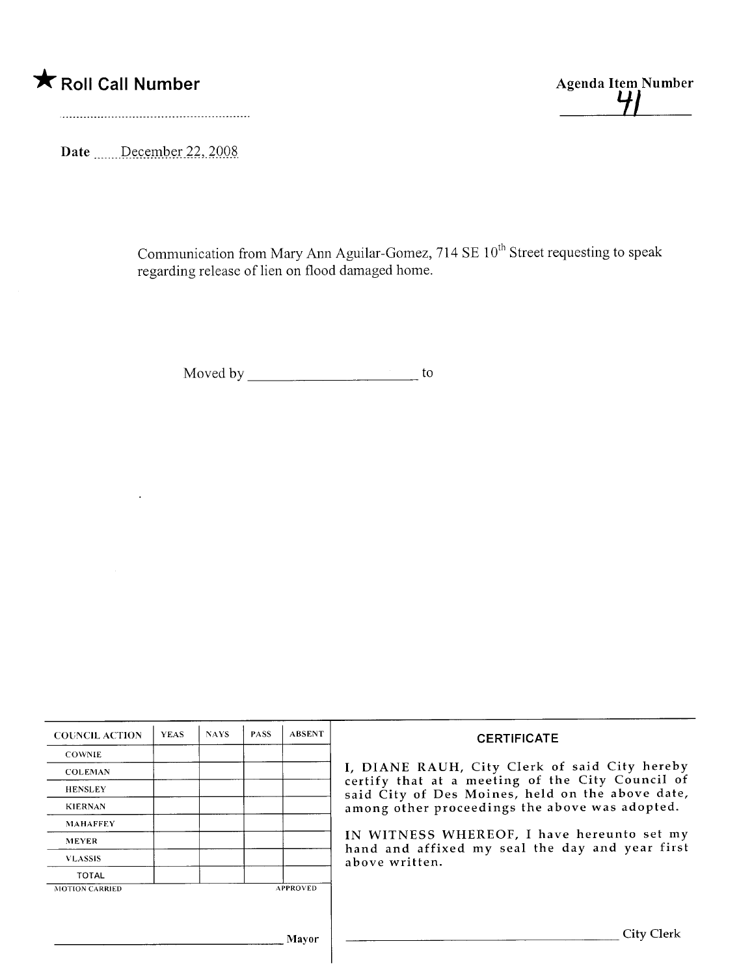

41

Date \_\_\_\_\_December 22, 2008

Communication from Mary Ann Aguilar-Gomez,  $714$  SE  $10^{th}$  Street requesting to speak regarding release of lien on flood damaged home.

Moved by to

| <b>COUNCIL ACTION</b> | <b>YEAS</b> | <b>NAYS</b> | <b>PASS</b> | <b>ABSENT</b>   | <b>CERTIFICATE</b>                                                                                                                                                                                                                                                                                                         |
|-----------------------|-------------|-------------|-------------|-----------------|----------------------------------------------------------------------------------------------------------------------------------------------------------------------------------------------------------------------------------------------------------------------------------------------------------------------------|
| <b>COWNIE</b>         |             |             |             |                 | I, DIANE RAUH, City Clerk of said City hereby<br>certify that at a meeting of the City Council of<br>said City of Des Moines, held on the above date,<br>among other proceedings the above was adopted.<br>IN WITNESS WHEREOF, I have hereunto set my<br>hand and affixed my seal the day and year first<br>above written. |
| <b>COLEMAN</b>        |             |             |             |                 |                                                                                                                                                                                                                                                                                                                            |
| <b>HENSLEY</b>        |             |             |             |                 |                                                                                                                                                                                                                                                                                                                            |
| <b>KIERNAN</b>        |             |             |             |                 |                                                                                                                                                                                                                                                                                                                            |
| <b>MAHAFFEY</b>       |             |             |             |                 |                                                                                                                                                                                                                                                                                                                            |
| <b>MEYER</b>          |             |             |             |                 |                                                                                                                                                                                                                                                                                                                            |
| <b>VLASSIS</b>        |             |             |             |                 |                                                                                                                                                                                                                                                                                                                            |
| <b>TOTAL</b>          |             |             |             |                 |                                                                                                                                                                                                                                                                                                                            |
| <b>MOTION CARRIED</b> |             |             |             | <b>APPROVED</b> |                                                                                                                                                                                                                                                                                                                            |
|                       |             |             |             |                 |                                                                                                                                                                                                                                                                                                                            |
| <b>Mayor</b>          |             |             |             |                 | City Clerk                                                                                                                                                                                                                                                                                                                 |